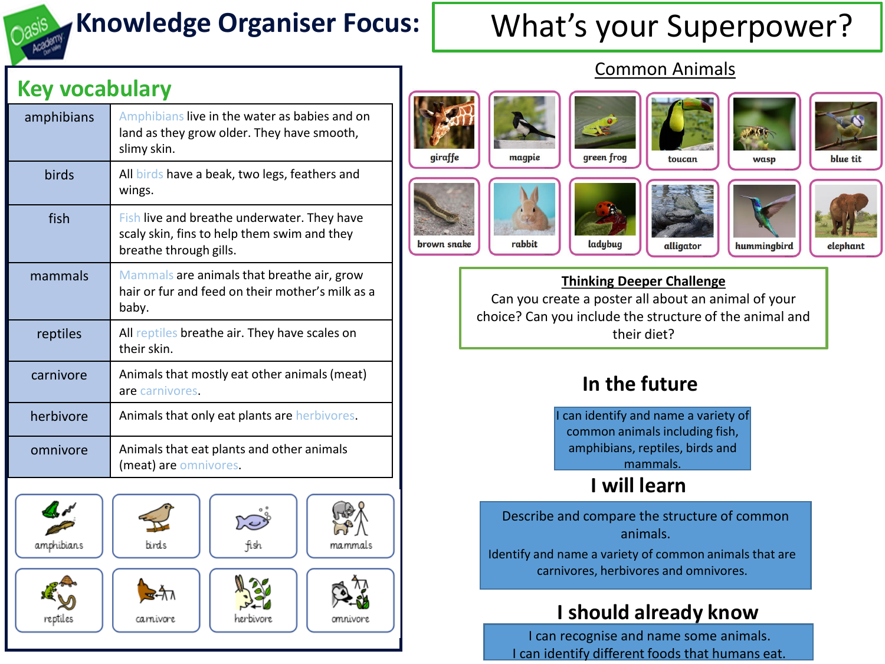

amphibians

reptiles

fish

herbivore

ma.mmals

omnivore

**birds** 

≊∸ী⊼

carnivore

# **Knowledge Organiser Focus:** What's your Superpower?

## Common Animals

blue tit

elephant



Identify and name a variety of common animals that are carnivores, herbivores and omnivores.

## **I should already know**

I can recognise and name some animals. I can identify different foods that humans eat.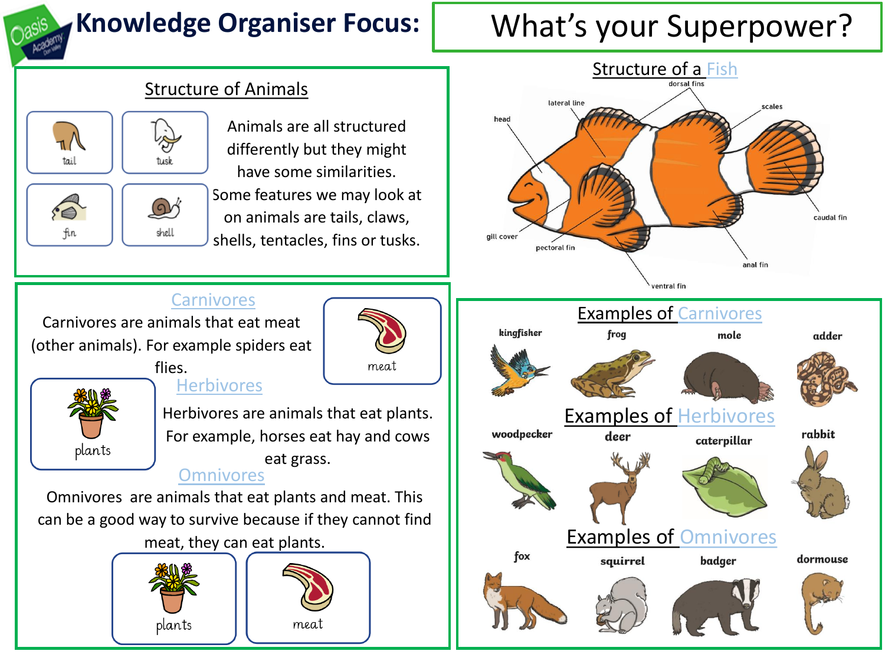

# **Knowledge Organiser Focus:** What's your Superpower?